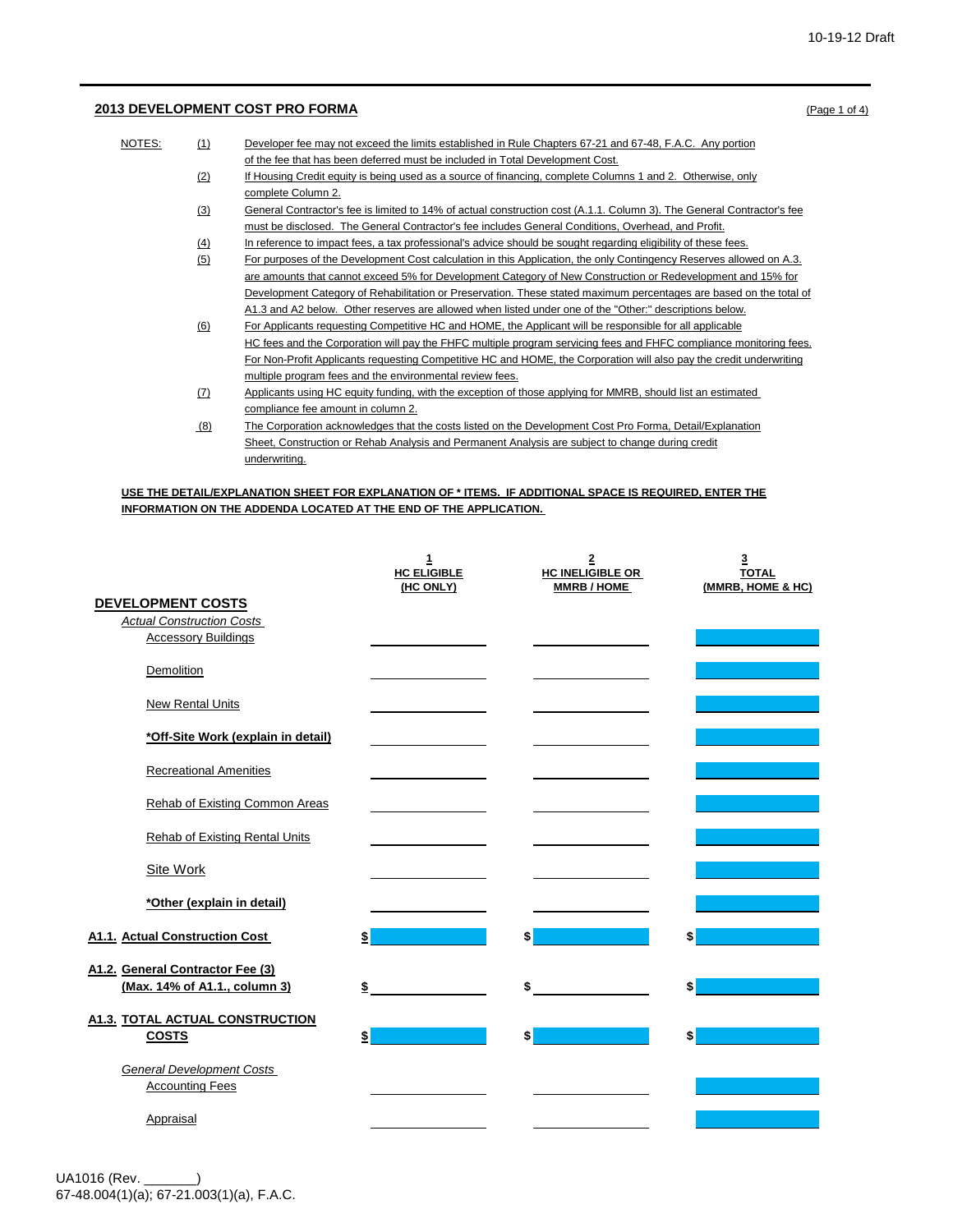## **2013 DEVELOPMENT COST PRO FORMA** (Page 1 of 4)

| NOTES:<br>(1)<br>Developer fee may not exceed the limits established in Rule Chapters 67-21 and 67-48, F.A.C. Any portion     |  |
|-------------------------------------------------------------------------------------------------------------------------------|--|
| of the fee that has been deferred must be included in Total Development Cost.                                                 |  |
| (2)<br>If Housing Credit equity is being used as a source of financing, complete Columns 1 and 2. Otherwise, only             |  |
| complete Column 2.                                                                                                            |  |
| (3)<br>General Contractor's fee is limited to 14% of actual construction cost (A.1.1. Column 3). The General Contractor's fee |  |
| must be disclosed. The General Contractor's fee includes General Conditions, Overhead, and Profit.                            |  |
| In reference to impact fees, a tax professional's advice should be sought regarding eligibility of these fees.<br>(4)         |  |
| (5)<br>For purposes of the Development Cost calculation in this Application, the only Contingency Reserves allowed on A.3.    |  |
| are amounts that cannot exceed 5% for Development Category of New Construction or Redevelopment and 15% for                   |  |
| Development Category of Rehabilitation or Preservation. These stated maximum percentages are based on the total of            |  |
| A1.3 and A2 below. Other reserves are allowed when listed under one of the "Other:" descriptions below.                       |  |
| (6)<br>For Applicants requesting Competitive HC and HOME, the Applicant will be responsible for all applicable                |  |
| HC fees and the Corporation will pay the FHFC multiple program servicing fees and FHFC compliance monitoring fees.            |  |
| For Non-Profit Applicants requesting Competitive HC and HOME, the Corporation will also pay the credit underwriting           |  |
| multiple program fees and the environmental review fees.                                                                      |  |
| (7)<br>Applicants using HC equity funding, with the exception of those applying for MMRB, should list an estimated            |  |
| compliance fee amount in column 2.                                                                                            |  |
| The Corporation acknowledges that the costs listed on the Development Cost Pro Forma, Detail/Explanation<br>(8)               |  |
| Sheet, Construction or Rehab Analysis and Permanent Analysis are subject to change during credit                              |  |
| underwriting.                                                                                                                 |  |

## **USE THE DETAIL/EXPLANATION SHEET FOR EXPLANATION OF \* ITEMS. IF ADDITIONAL SPACE IS REQUIRED, ENTER THE INFORMATION ON THE ADDENDA LOCATED AT THE END OF THE APPLICATION.**

|                                                                                            | $\mathbf{1}$<br><b>HC ELIGIBLE</b><br>(HC ONLY) | $\overline{\mathbf{2}}$<br><b>HC INELIGIBLE OR</b><br><b>MMRB/HOME</b> | 3<br><b>TOTAL</b><br>(MMRB, HOME & HC) |
|--------------------------------------------------------------------------------------------|-------------------------------------------------|------------------------------------------------------------------------|----------------------------------------|
| <b>DEVELOPMENT COSTS</b><br><b>Actual Construction Costs</b><br><b>Accessory Buildings</b> |                                                 |                                                                        |                                        |
| Demolition                                                                                 |                                                 |                                                                        |                                        |
| <b>New Rental Units</b>                                                                    |                                                 |                                                                        |                                        |
| *Off-Site Work (explain in detail)                                                         |                                                 |                                                                        |                                        |
| <b>Recreational Amenities</b>                                                              |                                                 |                                                                        |                                        |
| Rehab of Existing Common Areas                                                             |                                                 |                                                                        |                                        |
| <b>Rehab of Existing Rental Units</b>                                                      |                                                 |                                                                        |                                        |
| <b>Site Work</b>                                                                           |                                                 |                                                                        |                                        |
| *Other (explain in detail)                                                                 |                                                 |                                                                        |                                        |
| A1.1. Actual Construction Cost                                                             | \$                                              | \$                                                                     | \$                                     |
| A1.2. General Contractor Fee (3)<br>(Max. 14% of A1.1., column 3)                          | \$                                              | \$                                                                     | \$                                     |
| <b>A1.3. TOTAL ACTUAL CONSTRUCTION</b><br><b>COSTS</b>                                     | \$                                              | \$                                                                     | \$                                     |
| <b>General Development Costs</b><br><b>Accounting Fees</b>                                 |                                                 |                                                                        |                                        |
| Appraisal                                                                                  |                                                 |                                                                        |                                        |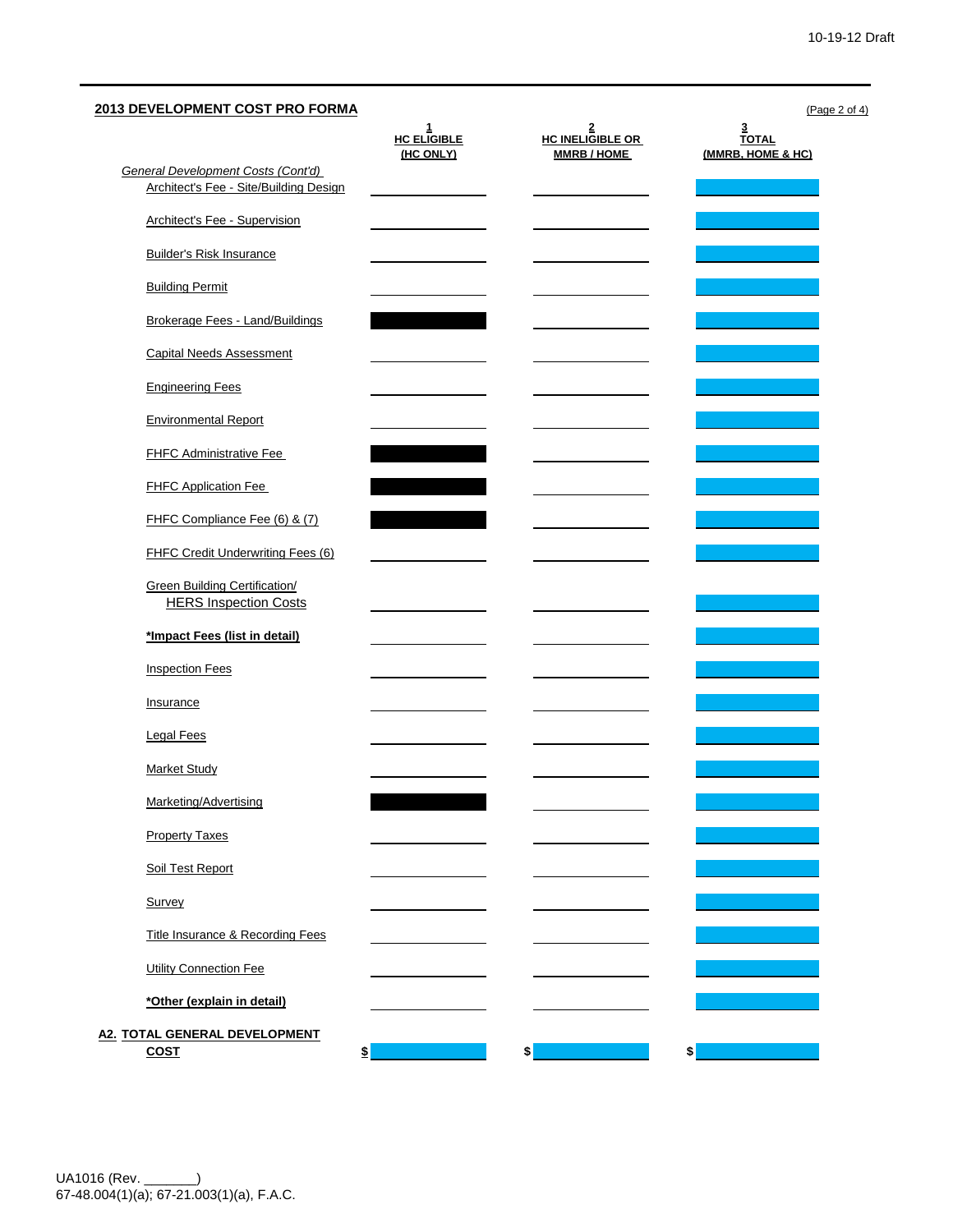| <b>General Development Costs (Cont'd)</b>                            | $rac{1}{\text{HC}}$ ELIGIBLE<br>(HC ONLY) | $rac{2}{\text{HC}}$ INELIGIBLE OR<br><b>MMRB/HOME</b> | <u>3</u><br><u>TOTAL</u> |
|----------------------------------------------------------------------|-------------------------------------------|-------------------------------------------------------|--------------------------|
|                                                                      |                                           |                                                       | (MMRB, HOME & HC)        |
|                                                                      |                                           |                                                       |                          |
| Architect's Fee - Site/Building Design                               |                                           |                                                       |                          |
| <b>Architect's Fee - Supervision</b>                                 |                                           |                                                       |                          |
| <b>Builder's Risk Insurance</b>                                      |                                           |                                                       |                          |
| <b>Building Permit</b>                                               |                                           |                                                       |                          |
| Brokerage Fees - Land/Buildings                                      |                                           |                                                       |                          |
| <b>Capital Needs Assessment</b>                                      |                                           |                                                       |                          |
| <b>Engineering Fees</b>                                              |                                           |                                                       |                          |
| <b>Environmental Report</b>                                          |                                           |                                                       |                          |
| <b>FHFC Administrative Fee</b>                                       |                                           |                                                       |                          |
| <b>FHFC Application Fee</b>                                          |                                           |                                                       |                          |
| FHFC Compliance Fee (6) & (7)                                        |                                           |                                                       |                          |
| FHFC Credit Underwriting Fees (6)                                    |                                           |                                                       |                          |
| <b>Green Building Certification/</b><br><b>HERS Inspection Costs</b> |                                           |                                                       |                          |
| *Impact Fees (list in detail)                                        |                                           |                                                       |                          |
| <b>Inspection Fees</b>                                               |                                           |                                                       |                          |
| Insurance                                                            |                                           |                                                       |                          |
| <b>Legal Fees</b>                                                    |                                           |                                                       |                          |
| <b>Market Study</b>                                                  |                                           |                                                       |                          |
| Marketing/Advertising                                                |                                           |                                                       |                          |
| <b>Property Taxes</b>                                                |                                           |                                                       |                          |
| Soil Test Report                                                     |                                           |                                                       |                          |
| Survey                                                               |                                           |                                                       |                          |
| Title Insurance & Recording Fees                                     |                                           |                                                       |                          |
| <b>Utility Connection Fee</b>                                        |                                           |                                                       |                          |
| *Other (explain in detail)                                           |                                           |                                                       |                          |
| A2. TOTAL GENERAL DEVELOPMENT                                        |                                           |                                                       |                          |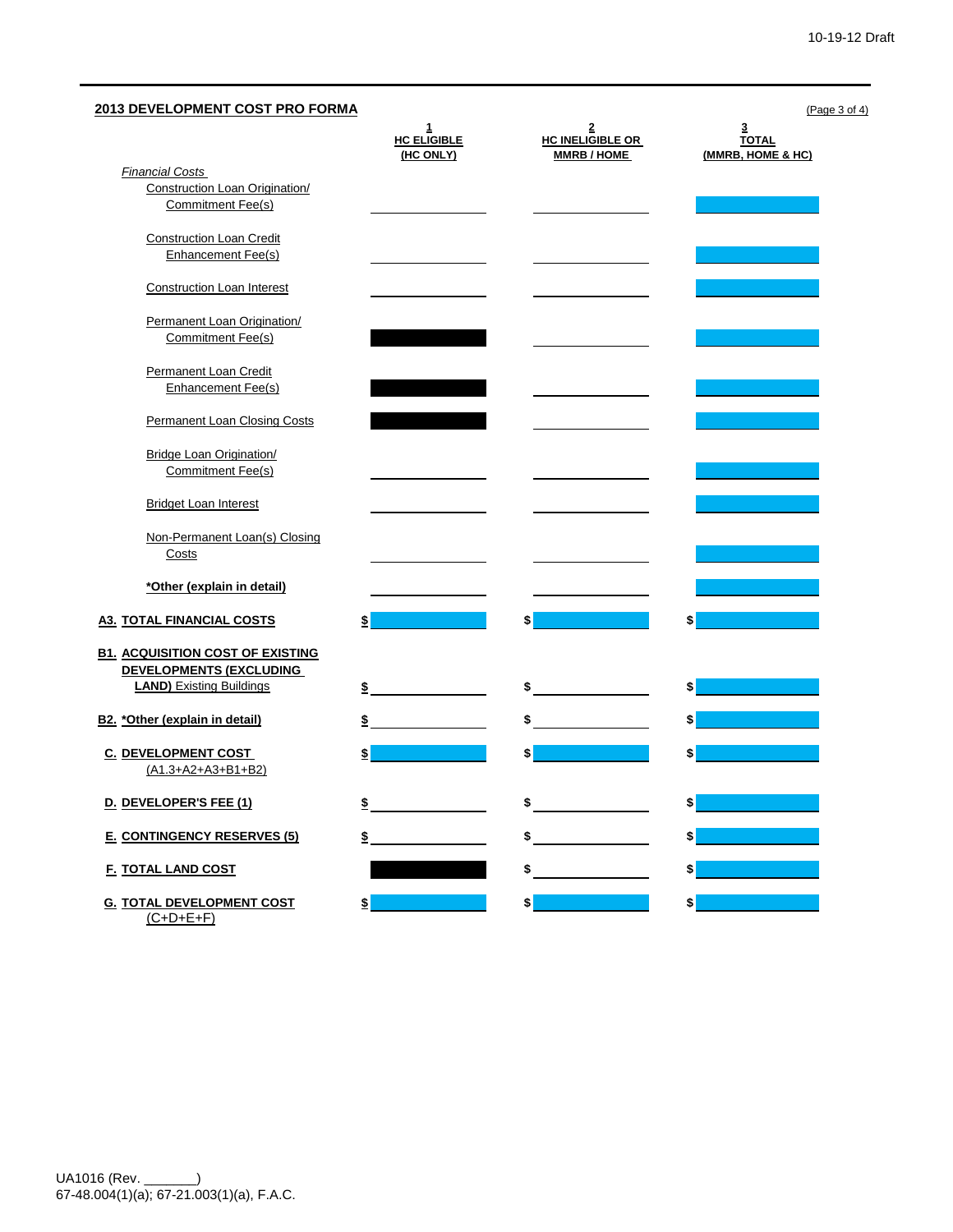| 2013 DEVELOPMENT COST PRO FORMA                                                                              |                                                 |                                                  | (Page 3 of 4)                                                |
|--------------------------------------------------------------------------------------------------------------|-------------------------------------------------|--------------------------------------------------|--------------------------------------------------------------|
|                                                                                                              | $\mathbf{1}$<br><b>HC ELIGIBLE</b><br>(HC ONLY) | 2<br><b>HC INELIGIBLE OR</b><br><b>MMRB/HOME</b> | $\overline{\mathbf{3}}$<br><b>TOTAL</b><br>(MMRB, HOME & HC) |
| <b>Financial Costs</b><br><b>Construction Loan Origination/</b><br>Commitment Fee(s)                         |                                                 |                                                  |                                                              |
| <b>Construction Loan Credit</b><br>Enhancement Fee(s)                                                        |                                                 |                                                  |                                                              |
| <b>Construction Loan Interest</b>                                                                            |                                                 |                                                  |                                                              |
| Permanent Loan Origination/<br>Commitment Fee(s)                                                             |                                                 |                                                  |                                                              |
| Permanent Loan Credit<br>Enhancement Fee(s)                                                                  |                                                 |                                                  |                                                              |
| Permanent Loan Closing Costs                                                                                 |                                                 |                                                  |                                                              |
| <b>Bridge Loan Origination/</b><br>Commitment Fee(s)                                                         |                                                 |                                                  |                                                              |
| <b>Bridget Loan Interest</b>                                                                                 |                                                 |                                                  |                                                              |
| Non-Permanent Loan(s) Closing<br>Costs                                                                       |                                                 |                                                  |                                                              |
| *Other (explain in detail)                                                                                   |                                                 |                                                  |                                                              |
| <b>A3. TOTAL FINANCIAL COSTS</b>                                                                             | \$                                              |                                                  | \$                                                           |
| <b>B1. ACQUISITION COST OF EXISTING</b><br><b>DEVELOPMENTS (EXCLUDING</b><br><b>LAND)</b> Existing Buildings | \$                                              | \$                                               | \$                                                           |
| B2. * Other (explain in detail)                                                                              | \$                                              |                                                  | \$                                                           |
| <b>C. DEVELOPMENT COST</b><br>(A1.3+A2+A3+B1+B2)                                                             | \$                                              | \$                                               | \$                                                           |
| D. DEVELOPER'S FEE (1)                                                                                       | \$                                              | \$                                               | \$                                                           |
| <b>E. CONTINGENCY RESERVES (5)</b>                                                                           | \$                                              | \$                                               | \$                                                           |
| <b>F. TOTAL LAND COST</b>                                                                                    |                                                 | \$                                               | \$                                                           |
| <b>G. TOTAL DEVELOPMENT COST</b><br>$(C+D+E+F)$                                                              | $\frac{1}{2}$                                   |                                                  | \$                                                           |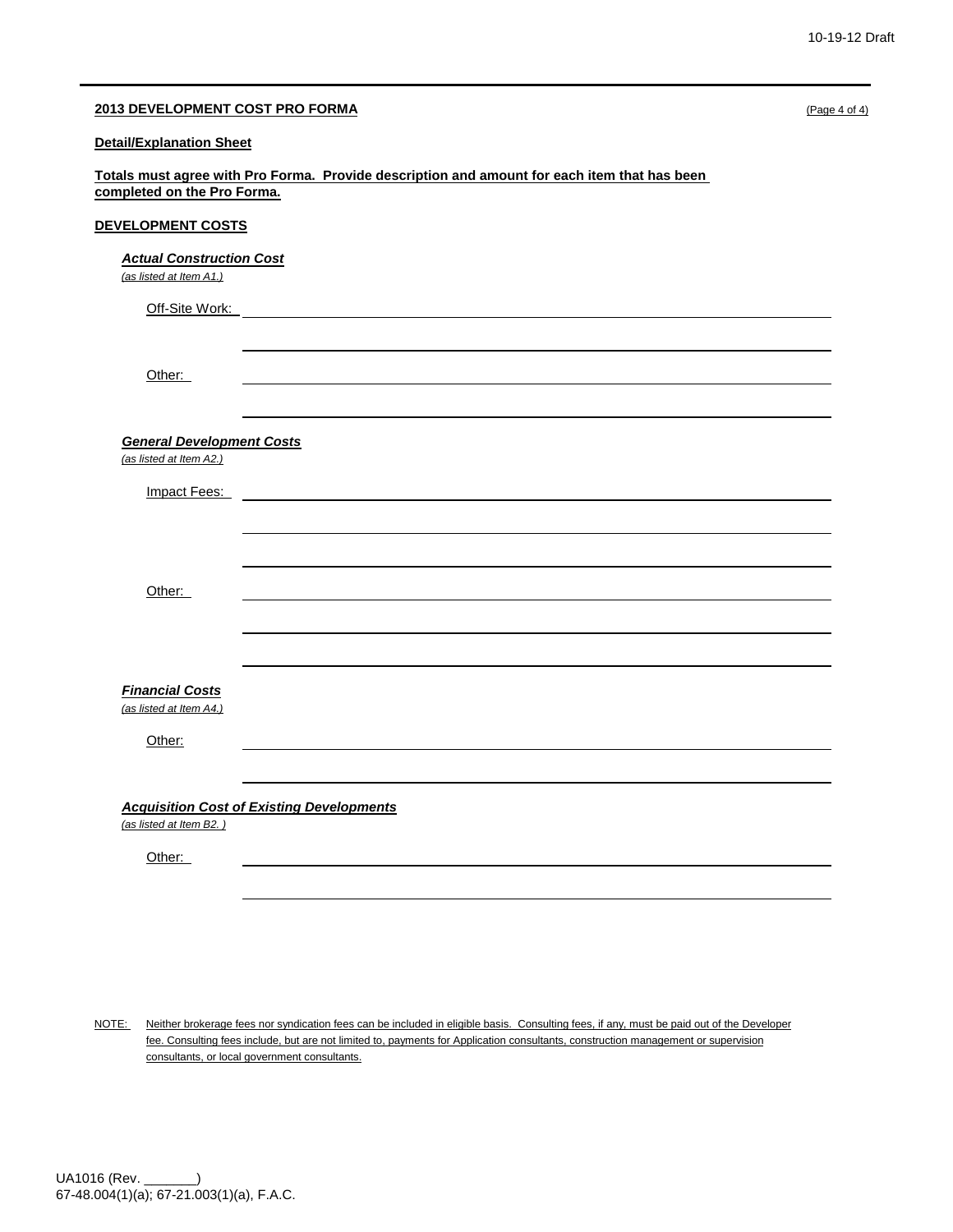| 2013 DEVELOPMENT COST PRO FORMA                                                                                             | (Page 4 of 4) |
|-----------------------------------------------------------------------------------------------------------------------------|---------------|
| <b>Detail/Explanation Sheet</b>                                                                                             |               |
| Totals must agree with Pro Forma. Provide description and amount for each item that has been<br>completed on the Pro Forma. |               |
| DEVELOPMENT COSTS                                                                                                           |               |
| <b>Actual Construction Cost</b><br>(as listed at Item A1.)                                                                  |               |
| Off-Site Work:                                                                                                              |               |
|                                                                                                                             |               |
| Other:                                                                                                                      |               |
|                                                                                                                             |               |
| <b>General Development Costs</b>                                                                                            |               |
| (as listed at Item A2.)                                                                                                     |               |
| Impact Fees:                                                                                                                |               |
|                                                                                                                             |               |
|                                                                                                                             |               |
| Other:                                                                                                                      |               |
|                                                                                                                             |               |
|                                                                                                                             |               |
| <b>Financial Costs</b>                                                                                                      |               |
| (as listed at Item A4.)                                                                                                     |               |
| Other:                                                                                                                      |               |
|                                                                                                                             |               |
| <b>Acquisition Cost of Existing Developments</b>                                                                            |               |
| (as listed at Item B2.)                                                                                                     |               |
| Other:                                                                                                                      |               |
|                                                                                                                             |               |

NOTE: Neither brokerage fees nor syndication fees can be included in eligible basis. Consulting fees, if any, must be paid out of the Developer fee. Consulting fees include, but are not limited to, payments for Application consultants, construction management or supervision consultants, or local government consultants.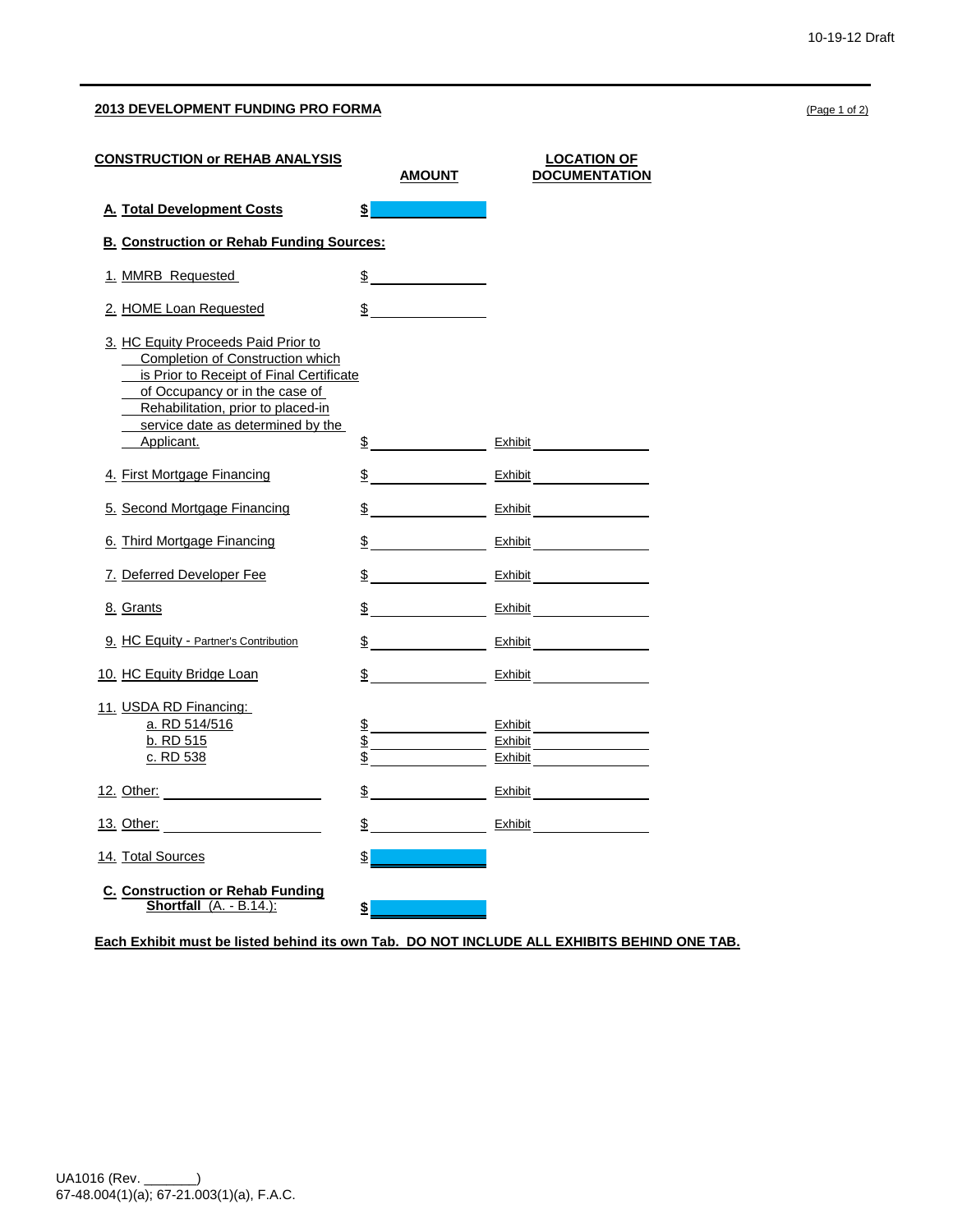## **2013 DEVELOPMENT FUNDING PRO FORMA** (Page 1 of 2)

| <u>CONSTRUCTION or REHAB ANALYSIS</u>                                                                                                                                                                                                                 |               | <u>AMOUNT</u>               | <b>LOCATION OF</b><br><b>DOCUMENTATION</b>                            |
|-------------------------------------------------------------------------------------------------------------------------------------------------------------------------------------------------------------------------------------------------------|---------------|-----------------------------|-----------------------------------------------------------------------|
| <b>A. Total Development Costs</b>                                                                                                                                                                                                                     | \$            |                             |                                                                       |
| <b>B. Construction or Rehab Funding Sources:</b>                                                                                                                                                                                                      |               |                             |                                                                       |
| 1. MMRB Requested                                                                                                                                                                                                                                     |               | $\frac{1}{2}$               |                                                                       |
| 2. HOME Loan Requested                                                                                                                                                                                                                                |               | $\frac{\text{S}}{\text{S}}$ |                                                                       |
| 3. HC Equity Proceeds Paid Prior to<br><b>Completion of Construction which</b><br>is Prior to Receipt of Final Certificate<br>of Occupancy or in the case of<br>Rehabilitation, prior to placed-in<br>service date as determined by the<br>Applicant. |               |                             | $\frac{\text{S}}{\text{S}}$ Exhibit $\frac{\text{Exhibit}}{\text{S}}$ |
| 4. First Mortgage Financing                                                                                                                                                                                                                           |               |                             | $\frac{\mathsf{S}}{\mathsf{S}}$ Exhibit                               |
| 5. Second Mortgage Financing                                                                                                                                                                                                                          |               |                             |                                                                       |
| 6. Third Mortgage Financing                                                                                                                                                                                                                           |               |                             | $\frac{\$}{\$}$ Exhibit                                               |
| 7. Deferred Developer Fee                                                                                                                                                                                                                             |               |                             |                                                                       |
| 8. Grants                                                                                                                                                                                                                                             |               |                             | $\frac{\$}{\$}$ Exhibit                                               |
| 9. HC Equity - Partner's Contribution                                                                                                                                                                                                                 |               |                             | $\frac{\$}{\$}$ Exhibit                                               |
| 10. HC Equity Bridge Loan                                                                                                                                                                                                                             |               |                             | $\frac{\mathsf{S}}{\mathsf{S}}$ Exhibit                               |
| 11. USDA RD Financing:<br>a. RD 514/516<br>b. RD 515<br>c. RD 538                                                                                                                                                                                     |               | $\underline{\$$             | Exhibit                                                               |
|                                                                                                                                                                                                                                                       |               |                             | $\frac{1}{2}$ Exhibit $\frac{1}{2}$ Exhibit                           |
| <u>13. Other:</u> <u>2000 13. Other:</u>                                                                                                                                                                                                              |               |                             | $\S$ Exhibit Exhibit                                                  |
| 14. Total Sources                                                                                                                                                                                                                                     | $\frac{1}{2}$ |                             |                                                                       |
| <b>C. Construction or Rehab Funding</b><br>Shortfall (A. - B.14.):                                                                                                                                                                                    | \$            |                             |                                                                       |

**Each Exhibit must be listed behind its own Tab. DO NOT INCLUDE ALL EXHIBITS BEHIND ONE TAB.**